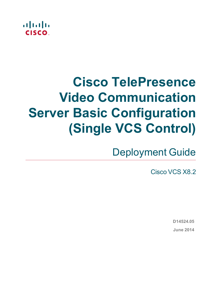

# **Cisco TelePresence Video Communication Server Basic Configuration (Single VCS Control)**

Deployment Guide

Cisco VCS X8.2

**D14524.05 June 2014**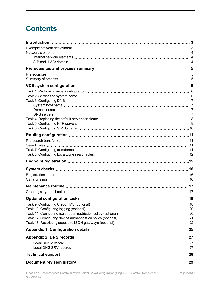## **Contents**

| 0ptional configuration tasks ……………………………………………………………………………………18        |  |
|------------------------------------------------------------------------|--|
| Task 9: Configuring Cisco TMS (optional) ………………………………………………………………………18 |  |
|                                                                        |  |
|                                                                        |  |
|                                                                        |  |
|                                                                        |  |
|                                                                        |  |
|                                                                        |  |
|                                                                        |  |
|                                                                        |  |
|                                                                        |  |
|                                                                        |  |
|                                                                        |  |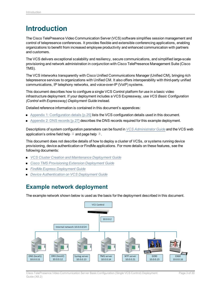## <span id="page-2-0"></span>**Introduction**

The Cisco TelePresence Video Communication Server (VCS) software simplifies session management and control of telepresence conferences. It provides flexible and extensible conferencing applications, enabling organizations to benefit from increased employee productivity and enhanced communication with partners and customers.

The VCS delivers exceptional scalability and resiliency, secure communications, and simplified large-scale provisioning and network administration in conjunction with Cisco TelePresence Management Suite (Cisco TMS).

The VCS interworks transparently with Cisco Unified Communications Manager (Unified CM), bringing rich telepresence services to organizations with Unified CM. It also offers interoperability with third-party unified communications, IP telephony networks, and voice-over-IP (VoIP) systems.

This document describes how to configure a single VCS Control platform for use in a basic video infrastructure deployment. If your deployment includes a VCS Expressway, use *VCS Basic Configuration (Control with Expressway) Deployment Guide* instead.

Detailed reference information is contained in this document's appendices:

- Appendix 1: [Configuration](#page-24-0) details [p.25] lists the VCS configuration details used in this document.
- $\blacksquare$  [Appendix](#page-26-0) 2: DNS records [p.27] describes the DNS records required for this example deployment.

Descriptions of system configuration parameters can be found in *VCS [Administrator](http://www.cisco.com/en/US/products/ps11337/prod_maintenance_guides_list.html) Guide* and the VCS web application's online field help  $\Box$  and page help  $\Box$ .

This document does not describe details of how to deploy a cluster of VCSs, or systems running device provisioning, device authentication or FindMe applications. For more details on these features, see the following documents:

- <sup>n</sup> *VCS Cluster Creation and [Maintenance](http://www.cisco.com/en/US/products/ps11337/products_installation_and_configuration_guides_list.html) Deployment Guide*
- <sup>n</sup> *Cisco TMS [Provisioning](http://www.cisco.com/en/US/products/ps11337/products_installation_and_configuration_guides_list.html) Extension Deployment Guide*
- <sup>n</sup> *FindMe Express [Deployment](http://www.cisco.com/en/US/products/ps11337/products_installation_and_configuration_guides_list.html) Guide*
- <span id="page-2-1"></span><sup>n</sup> *Device [Authentication](http://www.cisco.com/en/US/products/ps11337/products_installation_and_configuration_guides_list.html) on VCS Deployment Guide*

### **Example network deployment**

The example network shown below is used as the basis for the deployment described in this document.

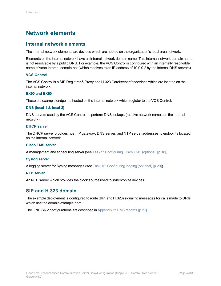### <span id="page-3-0"></span>**Network elements**

### <span id="page-3-1"></span>**Internal network elements**

The internal network elements are devices which are hosted on the organization's local area network.

Elements on the internal network have an internal network domain name. This internal network domain name is not resolvable by a public DNS. For example, the VCS Control is configured with an internally resolvable name of vcsc.internal-domain.net (which resolves to an IP address of 10.0.0.2 by the internal DNS servers).

#### **VCS Control**

The VCS Control is a SIP Registrar & Proxy and H.323 Gatekeeper for devices which are located on the internal network.

#### **EX90 and EX60**

These are example endpoints hosted on the internal network which register to the VCS Control.

#### **DNS (local 1 & local 2)**

DNS servers used by the VCS Control, to perform DNS lookups (resolve network names on the internal network).

### **DHCP server**

The DHCP server provides host, IP gateway, DNS server, and NTP server addresses to endpoints located on the internal network.

#### **Cisco TMS server**

A management and scheduling server (see Task [9: Configuring](#page-17-1) Cisco TMS (optional) [p.18]).

#### **Syslog server**

A logging server for Syslog messages (see Task 10: [Configuring](#page-19-0) logging (optional) [p.20]).

#### **NTP server**

<span id="page-3-2"></span>An NTP server which provides the clock source used to synchronize devices.

### **SIP and H.323 domain**

The example deployment is configured to route SIP (and H.323) signaling messages for calls made to URIs which use the domain example.com.

The DNS SRV configurations are described in [Appendix](#page-26-0) 2: DNS records [p.27].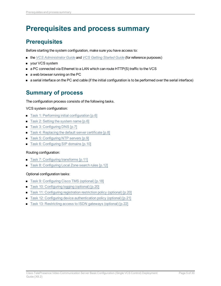## <span id="page-4-0"></span>**Prerequisites and process summary**

### <span id="page-4-1"></span>**Prerequisites**

Before starting the system configuration, make sure you have access to:

- <sup>n</sup> the *VCS [Administrator](http://www.cisco.com/en/US/products/ps11337/prod_maintenance_guides_list.html) Guide* and *VCS [Getting](http://www.cisco.com/en/US/products/ps11337/prod_installation_guides_list.html) Started Guide* (for reference purposes)
- **n** your VCS system
- a PC connected via Ethernet to a LAN which can route HTTP(S) traffic to the VCS
- $\blacksquare$  a web browser running on the PC
- <span id="page-4-2"></span><sup>n</sup> a serial interface on the PC and cable (if the initial configuration is to be performed over the serial interface)

### **Summary of process**

The configuration process consists of the following tasks.

### VCS system configuration:

- $\blacksquare$  Task 1: Performing initial [configuration \[p.6\]](#page-5-1)
- Task 2: Setting the [system](#page-5-2) name [p.6]
- Task 3: [Configuring](#page-6-0) DNS [p.7]
- Task 4: [Replacing](#page-7-0) the default server certificate [p.8]
- Task 5: [Configuring](#page-8-0) NTP servers [p.9]
- Task 6: [Configuring](#page-9-0) SIP domains [p.10]

### Routing configuration:

- Task 7: [Configuring](#page-10-3) transforms [p.11]
- Task 8: [Configuring](#page-11-0) Local Zone search rules [p.12]

### Optional configuration tasks:

- Task [9: Configuring](#page-17-1) Cisco TMS (optional) [p.18]
- Task 10: [Configuring](#page-19-0) logging (optional) [p.20]
- Task 11: [Configuring](#page-19-1) registration restriction policy (optional) [p.20]
- Task 12: Configuring device [authentication](#page-20-0) policy (optional) [p.21]
- Task 13: [Restricting](#page-21-0) access to ISDN gateways (optional) [p.22]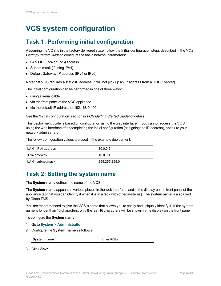## <span id="page-5-1"></span><span id="page-5-0"></span>**VCS system configuration**

### **Task 1: Performing initial configuration**

Assuming the VCS is in the factory delivered state, follow the Initial configuration steps described in the *VCS Getting Started Guide* to configure the basic network parameters:

- LAN1 IP (IPv4 or IPv6) address
- $\blacksquare$  Subnet mask (if using IPv4)
- Default Gateway IP address (IPv4 or IPv6)

Note that VCS requires a static IP address (it will not pick up an IP address from a DHCP server).

The initial configuration can be performed in one of three ways:

- using a serial cable
- via the front panel of the VCS appliance
- via the default IP address of 192, 168, 0, 100

See the "Initial configuration" section in *VCS Getting Started Guide* for details.

This deployment guide is based on configuration using the web interface. If you cannot access the VCS using the web interface after completing the initial configuration (assigning the IP address), speak to your network administrator.

The follow configuration values are used in the example deployment:

| LAN1 IPv4 address | 10.0.0.2      |
|-------------------|---------------|
| IPv4 gateway      | 10.0.0.1      |
| I AN1 subnet mask | 255.255.255.0 |

### <span id="page-5-2"></span>**Task 2: Setting the system name**

The **System name** defines the name of the VCS.

The **System name** appears in various places in the web interface, and in the display on the front panel of the appliance (so that you can identify it when it is in a rack with other systems). The system name is also used by Cisco TMS.

You are recommended to give the VCS a name that allows you to easily and uniquely identify it. If the system name is longer than 16 characters, only the last 16 characters will be shown in the display on the front panel.

To configure the **System name**:

- 1. Go to **System > Administration**.
- 2. Configure the **System name** as follows:

**System name** Enter **VCSc** 

3. Click **Save**.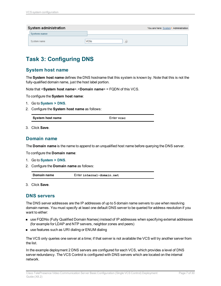| System administration |                 | You are here: System > Administration |
|-----------------------|-----------------|---------------------------------------|
| System name           |                 |                                       |
| System name           | VCSc<br>$\iota$ |                                       |

### <span id="page-6-0"></span>**Task 3: Configuring DNS**

### <span id="page-6-1"></span>**System host name**

The **System host name** defines the DNS hostname that this system is known by. Note that this is not the fully-qualified domain name, just the host label portion.

Note that <**System host name**>.<**Domain name**> = FQDN of this VCS.

To configure the **System host name**:

- 1. Go to **System > DNS**.
- 2. Configure the **System host name** as follows:

| System host name | Enter vese |  |
|------------------|------------|--|
|------------------|------------|--|

<span id="page-6-2"></span>3. Click **Save**.

### **Domain name**

The **Domain name** is the name to append to an unqualified host name before querying the DNS server.

To configure the **Domain name**:

- 1. Go to **System > DNS**.
- 2. Configure the **Domain name** as follows:

| Domain name<br>Enter internal-domain.net |  |
|------------------------------------------|--|
|------------------------------------------|--|

<span id="page-6-3"></span>3. Click **Save**.

### **DNS servers**

The DNS server addresses are the IP addresses of up to 5 domain name servers to use when resolving domain names. You must specify at least one default DNS server to be queried for address resolution if you want to either:

- **n** use FQDNs (Fully Qualified Domain Names) instead of IP addresses when specifying external addresses (for example for LDAP and NTP servers, neighbor zones and peers)
- use features such as URI dialing or ENUM dialing

The VCS only queries one server at a time; if that server is not available the VCS will try another server from the list.

In the example deployment 2 DNS servers are configured for each VCS, which provides a level of DNS server redundancy. The VCS Control is configured with DNS servers which are located on the internal network.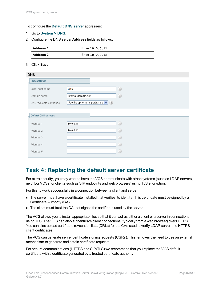#### To configure the **Default DNS server** addresses:

- 1. Go to **System > DNS**.
- 2. Configure the DNS server **Address** fields as follows:

| <b>Address 1</b> | Enter 10.0.0.11 |
|------------------|-----------------|
| <b>Address 2</b> | Enter 10.0.0.12 |

#### 3. Click **Save**.

| <b>DNS</b>                 |                                                              |  |
|----------------------------|--------------------------------------------------------------|--|
| <b>DNS settings</b>        |                                                              |  |
| Local host name            | (i)<br><b>VCSC</b>                                           |  |
| Domain name                | (i)<br>internal-domain.net                                   |  |
| DNS requests port range    | Use the ephemeral port range $\left  \mathbf{v} \right $ (i) |  |
| <b>Default DNS servers</b> |                                                              |  |
| Address 1                  | (i)<br>10.0.0.11                                             |  |
| Address 2                  | (i)<br>10.0.0.12                                             |  |
| Address 3                  | (i)                                                          |  |
| Address 4                  | (i)                                                          |  |
| Address 5                  | (i)                                                          |  |
|                            |                                                              |  |

### <span id="page-7-0"></span>**Task 4: Replacing the default server certificate**

For extra security, you may want to have the VCS communicate with other systems (such as LDAP servers, neighbor VCSs, or clients such as SIP endpoints and web browsers) using TLS encryption.

For this to work successfully in a connection between a client and server:

- n The server must have a certificate installed that verifies its identity. This certificate must be signed by a Certificate Authority (CA).
- The client must trust the CA that signed the certificate used by the server.

The VCS allows you to install appropriate files so that it can act as either a client or a server in connections using TLS. The VCS can also authenticate client connections (typically from a web browser) over HTTPS. You can also upload certificate revocation lists (CRLs) for the CAs used to verify LDAP server and HTTPS client certificates.

The VCS can generate server certificate signing requests (CSRs). This removes the need to use an external mechanism to generate and obtain certificate requests.

For secure communications (HTTPS and SIP/TLS) we recommend that you replace the VCS default certificate with a certificate generated by a trusted certificate authority.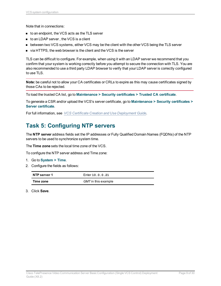Note that in connections:

- to an endpoint, the VCS acts as the TLS server
- to an LDAP server, the VCS is a client
- **Detween two VCS systems, either VCS may be the client with the other VCS being the TLS server**
- $\blacksquare$  via HTTPS, the web browser is the client and the VCS is the server

TLS can be difficult to configure. For example, when using it with an LDAP server we recommend that you confirm that your system is working correctly before you attempt to secure the connection with TLS. You are also recommended to use a third party LDAP browser to verify that your LDAP server is correctly configured to use TLS.

**Note:** be careful not to allow your CA certificates or CRLs to expire as this may cause certificates signed by those CAs to be rejected.

To load the trusted CA list, go to **Maintenance > Security certificates > Trusted CA certificate**.

To generate a CSR and/or upload the VCS's server certificate, go to **Maintenance > Security certificates > Server certificate**.

<span id="page-8-0"></span>For full information, see *VCS Certificate Creation and Use [Deployment](http://www.cisco.com/en/US/products/ps11337/products_installation_and_configuration_guides_list.html) Guide*.

### **Task 5: Configuring NTP servers**

The **NTP server** address fields set the IP addresses or Fully Qualified Domain Names (FQDNs) of the NTP servers to be used to synchronize system time.

The **Time zone** sets the local time zone of the VCS.

To configure the NTP server address and Time zone:

- 1. Go to **System > Time**.
- 2. Configure the fields as follows:

| NTP server 1 | Enter 10.0.0.21     |
|--------------|---------------------|
| Time zone    | GMT in this example |

3. Click **Save**.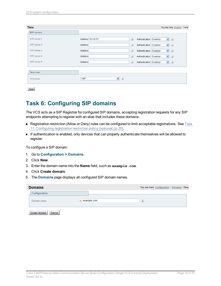| Time                            | You are here: System I Time                                       |
|---------------------------------|-------------------------------------------------------------------|
| <b>NTP servers</b>              |                                                                   |
| NTP server 1                    | Address 10.0.0.21<br>(i)<br>$\vee$ (i)<br>Authentication Disabled |
| NTP server 2                    | (i)<br>$\vee$ 0<br>Address<br>Authentication Disabled             |
| NTP server 3                    | (i)<br>$\vee$ (i)<br>Address<br>Authentication Disabled           |
| NTP server 4                    | (i)<br>$\vee$ (i)<br>Address<br>Authentication Disabled           |
| NTP server 5                    | (i)<br>$\vee$ (i)<br>Address<br>Authentication Disabled           |
|                                 |                                                                   |
| Time zone                       |                                                                   |
| Time zone                       | $\vee$ (i)<br>GMT                                                 |
| the contract of the contract of |                                                                   |

<span id="page-9-0"></span>Save

### **Task 6: Configuring SIP domains**

The VCS acts as a SIP Registrar for configured SIP domains, accepting registration requests for any SIP endpoints attempting to register with an alias that includes these domains.

- <sup>n</sup> Registration restriction (Allow or Deny) rules can be configured to limit acceptable registrations. See [Task](#page-19-1) 11: [Configuring](#page-19-1) registration restriction policy (optional) [p.20].
- <sup>n</sup> If authentication is enabled, only devices that can properly authenticate themselves will be allowed to register.

To configure a SIP domain:

- 1. Go to **Configuration > Domains**.
- 2. Click **New**.
- 3. Enter the domain name into the **Name** field, such as **example.com**.
- 4. Click **Create domain**.
- 5. The **Domains** page displays all configured SIP domain names.

| <b>Domains</b> |                         |             | You are here: Configuration > Domains > New |
|----------------|-------------------------|-------------|---------------------------------------------|
|                | Configuration           |             |                                             |
|                | Domain name             | example.com | $\hat{i}$                                   |
|                | Create domain<br>Cancel |             |                                             |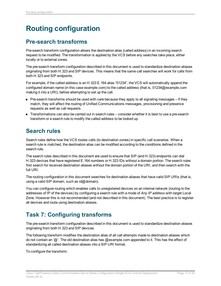## <span id="page-10-0"></span>**Routing configuration**

### <span id="page-10-1"></span>**Pre-search transforms**

Pre-search transform configuration allows the destination alias (called address) in an incoming search request to be modified. The transformation is applied by the VCS before any searches take place, either locally or to external zones.

The pre-search transform configuration described in this document is used to standardize destination aliases originating from both H.323 and SIP devices. This means that the same call searches will work for calls from both H.323 and SIP endpoints.

For example, if the called address is an H.323 E.164 alias "01234", the VCS will automatically append the configured domain name (in this case example.com) to the called address (that is, 01234@example.com making it into a URI), before attempting to set up the call.

- Pre-search transforms should be used with care because they apply to all signaling messages if they match, they will affect the routing of Unified Communications messages, provisioning and presence requests as well as call requests.
- Transformations can also be carried out in search rules consider whether it is best to use a pre-search transform or a search rule to modify the called address to be looked up.

### <span id="page-10-2"></span>**Search rules**

Search rules define how the VCS routes calls (to destination zones) in specific call scenarios. When a search rule is matched, the destination alias can be modified according to the conditions defined in the search rule.

The search rules described in this document are used to ensure that SIP (and H.323) endpoints can dial H.323 devices that have registered E.164 numbers or H.323 IDs without a domain portion. The search rules first search for received destination aliases without the domain portion of the URI, and then search with the full URI.

The routing configuration in this document searches for destination aliases that have valid SIP URIs (that is, using a valid SIP domain, such as  $id@domain$ .

You can configure routing which enables calls to unregistered devices on an internal network (routing to the addresses of IP of the devices) by configuring a search rule with a mode of *Any IP address* with target Local Zone. However this is not recommended (and not described in this document). The best practice is to register all devices and route using destination aliases.

### <span id="page-10-3"></span>**Task 7: Configuring transforms**

The pre-search transform configuration described in this document is used to standardize destination aliases originating from both H.323 and SIP devices.

The following transform modifies the destination alias of all call attempts made to destination aliases which do not contain an '@'. The old destination alias has @example.com appended to it. This has the effect of standardizing all called destination aliases into a SIP URI format.

To configure the transform: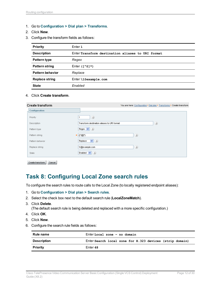- 1. Go to **Configuration > Dial plan > Transforms**.
- 2. Click **New**.
- 3. Configure the transform fields as follows:

| <b>Priority</b>         | Enter 1                                           |
|-------------------------|---------------------------------------------------|
| <b>Description</b>      | Enter Transform destination aliases to URI format |
| Pattern type            | Regex                                             |
| <b>Pattern string</b>   | Enter $(1^0$ ( $\ast$ )                           |
| <b>Pattern behavior</b> | Replace                                           |
| <b>Replace string</b>   | $Enter \leq$ gexample.com                         |
| <b>State</b>            | Enabled                                           |

4. Click **Create transform**.

| <b>Create transform</b> | You are here: Configuration > Dial plan > Transforms > Create transform |
|-------------------------|-------------------------------------------------------------------------|
| Configuration           |                                                                         |
| Priority                | (i)                                                                     |
| Description             | (i)<br>Transform destination aliases to URI format                      |
| Pattern type            | Regex $\vee$ <i>(i)</i>                                                 |
| Pattern string          | (i)<br>$*$ (( $^*$ ( $^*$ ))                                            |
| Pattern behavior        | $\vee$ (i)<br>Replace                                                   |
| Replace string          | (i)<br>M@example.com                                                    |
| State                   | Enabled $\vert \mathbf{v} \vert$ $(i)$                                  |
|                         |                                                                         |

<span id="page-11-0"></span>Create transform | Cancel

### **Task 8: Configuring Local Zone search rules**

To configure the search rules to route calls to the Local Zone (to locally registered endpoint aliases):

- 1. Go to **Configuration > Dial plan > Search rules**.
- 2. Select the check box next to the default search rule (**LocalZoneMatch**).
- 3. Click **Delete**.

(The default search rule is being deleted and replaced with a more specific configuration.)

- 4. Click **OK**.
- 5. Click **New**.
- 6. Configure the search rule fields as follows:

| Rule name          | Enter Local zone - no domain                             |  |  |
|--------------------|----------------------------------------------------------|--|--|
| <b>Description</b> | Enter Search local zone for H.323 devices (strip domain) |  |  |
| <b>Priority</b>    | Enter 48                                                 |  |  |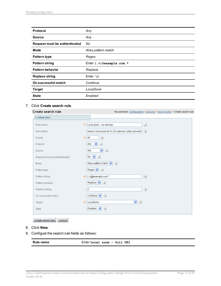| <b>Protocol</b>               | Any                             |
|-------------------------------|---------------------------------|
| <b>Source</b>                 | Any                             |
| Request must be authenticated | No                              |
| <b>Mode</b>                   | Alias pattern match             |
| <b>Pattern type</b>           | Regex                           |
| <b>Pattern string</b>         | Enter $( . + )$ @example.com. * |
| <b>Pattern behavior</b>       | Replace                         |
| <b>Replace string</b>         | Enter $\lambda$ 1               |
| On successful match           | Continue                        |
| <b>Target</b>                 | LocalZone                       |
| <b>State</b>                  | Enabled                         |

#### 7. Click **Create search rule**.

| Create search rule            | You are here: Configuration > Dial plan > Search rules > Create search rule           |
|-------------------------------|---------------------------------------------------------------------------------------|
| <b>Configuration</b>          |                                                                                       |
| Rule name                     | (i)<br>Local zone - no domain                                                         |
| Description                   | Search local zone for H.323 devices (strip domain) $\boxed{\color{black} \textbf{t}}$ |
| Priority                      | (i)<br>48<br>$\frac{1}{2}$                                                            |
| Protocol                      | (i)<br>$\checkmark$<br>Any                                                            |
| Source                        | (i)<br>$\blacktriangledown$<br>Any                                                    |
| Request must be authenticated | No $\vee$ 0                                                                           |
| Mode                          | Alias pattern match $\left  \mathbf{v} \right $ (i)                                   |
| Pattern type                  | Regex $\vee$ $(i)$                                                                    |
| Pattern string                | (i)<br>(.+)@example.com.*<br>ŵ                                                        |
| Pattern behavior              | Replace $\vert \mathbf{v} \vert$ $(i)$                                                |
| Replace string                | (i)<br>$\lambda$ 1                                                                    |
| On successful match           | (i)<br>Continue $\vert \mathbf{v} \vert$                                              |
| Target                        | $\vee$ (i)<br>LocalZone                                                               |
| State                         | Enabled $\vert \mathbf{v} \vert$<br>(i)                                               |
|                               |                                                                                       |

Create search rule | Cancel

- 8. Click **New**.
- 9. Configure the search rule fields as follows:

```
Rule name Enter Local zone – full URI
```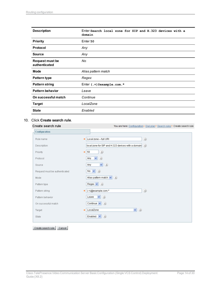| <b>Description</b>                      | Enter Search local zone for SIP and H.323 devices with a<br>domain |  |
|-----------------------------------------|--------------------------------------------------------------------|--|
| <b>Priority</b>                         | Enter 50                                                           |  |
| Protocol                                | Any                                                                |  |
| <b>Source</b>                           | Any                                                                |  |
| <b>Request must be</b><br>authenticated | No                                                                 |  |
| Mode                                    | Alias pattern match                                                |  |
| <b>Pattern type</b>                     | Regex                                                              |  |
| <b>Pattern string</b>                   | Enter $( . + )$ @example.com. *                                    |  |
| <b>Pattern behavior</b>                 | Leave                                                              |  |
| On successful match                     | Continue                                                           |  |
| <b>Target</b>                           | LocalZone                                                          |  |
| <b>State</b>                            | Enabled                                                            |  |

#### 10. Click **Create search rule**.

#### Create search rule

You are here: Configuration > Dial plan > Search rules > Create search rule Configuration Rule name Local zone - full URI  $(i)$ local zone for SIP and H.323 devices with a domain  $\left(\widehat{t}\right)$ Description  $\overline{\phantom{0}}$  50 Priority  $(i)$ Protocol Any  $\vee$  (i)  $\vee$  (i) Any Source  $N0 \vee (i)$ Request must be authenticated Alias pattern match  $\left| \mathbf{v} \right|$  (i) Mode Pattern type  $Regex$   $\vee$   $i$ \* (+)@example.com.\*  $(i)$ Pattern string Leave  $\vert \mathbf{v} \vert$  (i) Pattern behavior On successful match Continue  $\blacktriangledown$  (*i*) Target LocalZone  $\vee$  0 Enabled  $\blacktriangledown$   $(i)$ State

Create search rule Cancel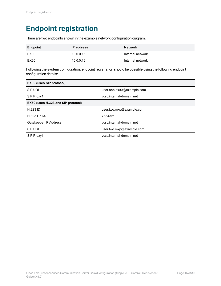## <span id="page-14-0"></span>**Endpoint registration**

There are two endpoints shown in the example network configuration diagram.

| <b>Endpoint</b> | <b>IP</b> address | <b>Network</b>   |
|-----------------|-------------------|------------------|
| EX90            | 10.0.0.15         | Internal network |
| EX60            | 10.0.0.16         | Internal network |

Following the system configuration, endpoint registration should be possible using the following endpoint configuration details:

| <b>EX90 (uses SIP protocol)</b>    |                           |  |
|------------------------------------|---------------------------|--|
| <b>SIP URI</b>                     | user.one.ex90@example.com |  |
| SIP Proxy1                         | vcsc.internal-domain.net  |  |
| EX60 (uses H.323 and SIP protocol) |                           |  |
| <b>H.323 ID</b>                    | user.two.mxp@example.com  |  |
| H.323 E.164                        | 7654321                   |  |
| Gatekeeper IP Address              | vcsc.internal-domain.net  |  |
| SIP URI                            | user.two.mxp@example.com  |  |
| SIP Proxy1                         | vcsc.internal-domain.net  |  |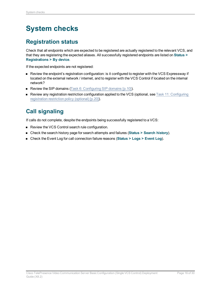## <span id="page-15-0"></span>**System checks**

### <span id="page-15-1"></span>**Registration status**

Check that all endpoints which are expected to be registered are actually registered to the relevant VCS, and that they are registering the expected aliases. All successfully registered endpoints are listed on **Status > Registrations > By device**.

If the expected endpoints are not registered:

- <sup>n</sup> Review the endpoint's registration configuration: is it configured to register with the VCS Expressway if located on the external network / internet, and to register with the VCS Control if located on the internal network?
- Review the SIP domains (Task 6: [Configuring](#page-9-0) SIP domains [p.10]).
- n Review any registration restriction configuration applied to the VCS (optional, see Task 11: [Configuring](#page-19-1) [registration](#page-19-1) restriction policy (optional) [p.20]).

### <span id="page-15-2"></span>**Call signaling**

If calls do not complete, despite the endpoints being successfully registered to a VCS:

- Review the VCS Control search rule configuration.
- <sup>n</sup> Check the search history page for search attempts and failures (**Status > Search history**).
- <sup>n</sup> Check the Event Log for call connection failure reasons (**Status > Logs > Event Log**).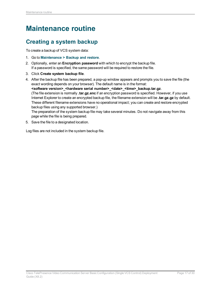## <span id="page-16-0"></span>**Maintenance routine**

### <span id="page-16-1"></span>**Creating a system backup**

To create a backup of VCS system data:

- 1. Go to **Maintenance > Backup and restore**.
- 2. Optionally, enter an **Encryption password** with which to encrypt the backup file. If a password is specified, the same password will be required to restore the file.
- 3. Click **Create system backup file**.
- 4. After the backup file has been prepared, a pop-up window appears and prompts you to save the file (the exact wording depends on your browser). The default name is in the format: **<software version>\_<hardware serial number>\_<date>\_<time>\_backup.tar.gz**. (The file extension is normally **.tar.gz.enc** if an encryption password is specified. However, if you use Internet Explorer to create an encrypted backup file, the filename extension will be **.tar.gz.gz** by default. These different filename extensions have no operational impact; you can create and restore encrypted backup files using any supported browser.) The preparation of the system backup file may take several minutes. Do not navigate away from this page while the file is being prepared.
- 5. Save the file to a designated location.

Log files are not included in the system backup file.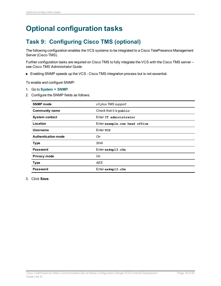## <span id="page-17-1"></span><span id="page-17-0"></span>**Optional configuration tasks**

### **Task 9: Configuring Cisco TMS (optional)**

The following configuration enables the VCS systems to be integrated to a Cisco TelePresence Management Server (Cisco TMS).

Further configuration tasks are required on Cisco TMS to fully integrate the VCS with the Cisco TMS server – see *Cisco TMS Administrator Guide*.

■ Enabling SNMP speeds up the VCS - Cisco TMS integration process but is not essential.

To enable and configure SNMP:

- 1. Go to **System > SNMP**.
- 2. Configure the SNMP fields as follows:

| <b>SNMP</b> mode           | v3 plus TMS support           |  |
|----------------------------|-------------------------------|--|
| <b>Community name</b>      | Check that it is public       |  |
| <b>System contact</b>      | Enter IT administrator        |  |
| Location                   | Enter example.com head office |  |
| Username                   | Enter vcs                     |  |
| <b>Authentication mode</b> | Оn                            |  |
| <b>Type</b>                | SHA                           |  |
| Password                   | $Enter$ $ex4mp13.c0m$         |  |
| Privacy mode               | Оn                            |  |
| <b>Type</b>                | AES.                          |  |
| <b>Password</b>            | $Enter$ $ex4mp13.c0m$         |  |

3. Click **Save**.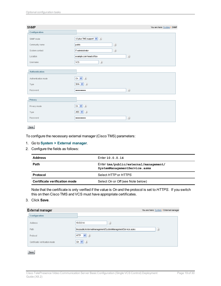| <b>SNMP</b>           | You are here: System F SNMP                      |
|-----------------------|--------------------------------------------------|
| Configuration         |                                                  |
| SNMP mode             | v3 plus TMS support $\vert \mathbf{v} \vert$ (i) |
| Community name        | $\circledi$<br>public                            |
| System contact        | $\circledi$<br>IT administrator                  |
| Location              | $\circledi$<br>example.com head office           |
| Username              | $\circledi$<br><b>VCS</b>                        |
| <b>Authentication</b> |                                                  |
| Authentication mode   | (i)<br>On $\vee$                                 |
| Type                  | SHA $\vee$ $(i)$                                 |
| Password              | $\circledi$<br>                                  |
| Privacy               |                                                  |
| Privacy mode          | On $\vee$ ( <i>i</i> )                           |
| Type                  | AES $\vee$ ( <i>i</i> )                          |
| Password              | $\circledi$<br>                                  |

#### Save

To configure the necessary external manager (Cisco TMS) parameters:

#### 1. Go to **System > External manager**.

2. Configure the fields as follows:

| <b>Address</b>                | Enter 10.0.0.14                                                       |  |
|-------------------------------|-----------------------------------------------------------------------|--|
| Path                          | Enter tms/public/external/management/<br>SystemManagementService.asmx |  |
| Protocol                      | Select HTTP or HTTPS                                                  |  |
| Certificate verification mode | Select On or Off (see Note below)                                     |  |

Note that the certificate is only verified if the value is *On* and the protocol is set to *HTTPS*. If you switch this on then Cisco TMS and VCS must have appropriate certificates.

#### 3. Click **Save**.

| <b>External manager</b>       |                                                             | You are here: System ▶ External manager |
|-------------------------------|-------------------------------------------------------------|-----------------------------------------|
| Configuration                 |                                                             |                                         |
| <b>Address</b>                | (i)<br>10.0.0.14                                            |                                         |
| Path                          | tms/public/external/management/SystemManagementService.asmx | (i)                                     |
| Protocol                      | (i)<br><b>HTTP</b><br>$\vee$                                |                                         |
| Certificate verification mode | (i)<br>On $\vee$                                            |                                         |
| Save                          |                                                             |                                         |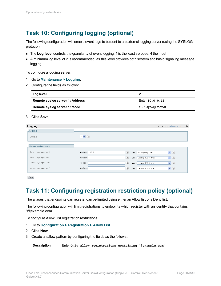### <span id="page-19-0"></span>**Task 10: Configuring logging (optional)**

The following configuration will enable event logs to be sent to an external logging server (using the SYSLOG protocol).

- **n** The Log level controls the granularity of event logging. 1 is the least verbose, 4 the most.
- A minimum log level of 2 is recommended, as this level provides both system and basic signaling message logging.

To configure a logging server:

- 1. Go to **Maintenance > Logging**.
- 2. Configure the fields as follows:

| Log level                       |                    |
|---------------------------------|--------------------|
| Remote syslog server 1: Address | Enter 10.0.0.13    |
| Remote syslog server 1: Mode    | IETF syslog format |

#### 3. Click **Save**.

| Logging                |                   | You are here: Maintenance > Logging          |
|------------------------|-------------------|----------------------------------------------|
| Logging                |                   |                                              |
| Log level              | $2 \vee i$        |                                              |
| Remote syslog servers  |                   |                                              |
| Remote syslog server 1 | Address 10.0.0.13 | (i)<br>$\vee$ (i)<br>Mode IETF syslog format |
| Remote syslog server 2 | Address           | (i)<br>$\vee$ (i)<br>Mode Legacy BSD format  |
| Remote syslog server 3 | Address           | (i)<br>$\vee$ (i)<br>Mode Legacy BSD format  |
| Remote syslog server 4 | Address           | (i)<br>$\vee$ (i)<br>Mode Legacy BSD format  |
|                        |                   |                                              |

<span id="page-19-1"></span>Save

### **Task 11: Configuring registration restriction policy (optional)**

The aliases that endpoints can register can be limited using either an Allow list or a Deny list.

The following configuration will limit registrations to endpoints which register with an identity that contains "@example.com".

To configure Allow List registration restrictions:

- 1. Go to **Configuration > Registration > Allow List**.
- 2. Click **New**.
- 3. Create an allow pattern by configuring the fields as the follows:

**Description** Enter **Only allow registrations containing "@example.com"**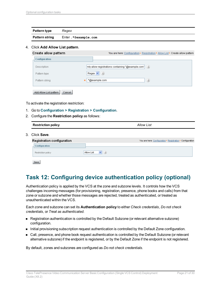| Pattern type          | Regex               |
|-----------------------|---------------------|
| <b>Pattern string</b> | Enter.*@example.com |

#### 4. Click **Add Allow List pattern**.

| Create allow pattern             | You are here: Configuration ▶ Registration ▶ Allow List ▶ Create allow pattern |
|----------------------------------|--------------------------------------------------------------------------------|
| <b>Configuration</b>             |                                                                                |
| Description                      | inly allow registrations containing "@example.com" ( $\hat{t}$ )               |
| Pattern type                     | Regex $\vee$<br>(i)                                                            |
| Pattern string                   | (i)<br>.*@example.com<br>÷.                                                    |
| Add Allow List pattern<br>Cancel |                                                                                |

To activate the registration restriction:

- 1. Go to **Configuration > Registration > Configuration**.
- 2. Configure the **Restriction policy** as follows:

| <b>Restriction policy</b>  |                             | <b>Allow List</b> |                                                            |
|----------------------------|-----------------------------|-------------------|------------------------------------------------------------|
| 3. Click Save.             |                             |                   |                                                            |
| Registration configuration |                             |                   |                                                            |
| Configuration              |                             |                   |                                                            |
| Restriction policy         | (i)<br>Allow List<br>$\vee$ |                   |                                                            |
|                            |                             |                   | You are here: Configuration > Registration > Configuration |

Save

### <span id="page-20-0"></span>**Task 12: Configuring device authentication policy (optional)**

Authentication policy is applied by the VCS at the zone and subzone levels. It controls how the VCS challenges incoming messages (for provisioning, registration, presence, phone books and calls) from that zone or subzone and whether those messages are rejected, treated as authenticated, or treated as unauthenticated within the VCS.

Each zone and subzone can set its **Authentication policy** to either *Check credentials*, *Do not check credentials*, or *Treat as authenticated*.

- <sup>n</sup> Registration authentication is controlled by the Default Subzone (or relevant alternative subzone) configuration.
- nitial provisioning subscription request authentication is controlled by the Default Zone configuration.
- <sup>n</sup> Call, presence, and phone book request authentication is controlled by the Default Subzone (or relevant alternative subzone) if the endpoint is registered, or by the Default Zone if the endpoint is not registered.

By default, zones and subzones are configured as *Do not check credentials*.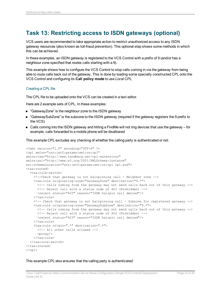### <span id="page-21-0"></span>**Task 13: Restricting access to ISDN gateways (optional)**

VCS users are recommended to take appropriate action to restrict unauthorized access to any ISDN gateway resources (also known as toll-fraud prevention). This optional step shows some methods in which this can be achieved.

In these examples, an ISDN gateway is registered to the VCS Control with a prefix of 9 (and/or has a neighbour zone specified that routes calls starting with a 9).

This example shows how to configure the VCS Control to stop calls coming in via the gateway from being able to route calls back out of the gateway. This is done by loading some specially constructed CPL onto the VCS Control and configuring its **Call policy mode** to use *Local CPL*.

#### Creating a CPL file

The CPL file to be uploaded onto the VCS can be created in a text editor.

Here are 2 example sets of CPL. In these examples:

- "GatewayZone" is the neighbour zone to the ISDN gateway
- "GatewaySubZone" is the subzone to the ISDN gateway (required if the gateway registers the 9 prefix to the VCS)
- Calls coming into the ISDN gateway and hitting a FindMe will not ring devices that use the gateway for example, calls forwarded to a mobile phone will be disallowed

This example CPL excludes any checking of whether the calling party is authenticated or not:

```
<?xml version="1.0" encoding="UTF-8" ?>
<cpl xmlns="urn:ietf:params:xml:ns:cpl"
xmlns:taa="http://www.tandberg.net/cpl-extensions"
xmlns:xsi="http://www.w3.org/2001/XMLSchema-instance"
xsi:schemaLocation="urn:ietf:params:xml:ns:cpl cpl.xsd">
<taa:routed>
  <taa:rule-switch>
   <!--Check that gateway is not hairpinning call - Neighbor zone -->
    <taa:rule originating-zone="GatewayZone" destination="9.*">
      <!-- Calls coming from the gateway may not send calls back out of this gateway -->
     <!-- Reject call with a status code of 403 (Forbidden) -->
     <reject status="403" reason="ISDN hairpin call denied"/>
    </taa:rule>
    <!-- Check that gateway is not hairpinning call - Subzone for registered gateway -->
    <taa:rule originating-zone="GatewaySubZone" destination="9.*">
      <!-- Calls coming from the gateway may not send calls back out of this gateway -->
      <!-- Reject call with a status code of 403 (Forbidden) -->
      <reject status="403" reason="ISDN hairpin call denied"/>
    </taa:rule>
    <taa:rule origin=".*" destination=".*">
     <!-- All other calls allowed -->
      <proxy/>
    </taa:rule>
  </taa:rule-switch>
</taa:routed>
\langle / cpl >
```
This example CPL also ensures that the calling party is authenticated: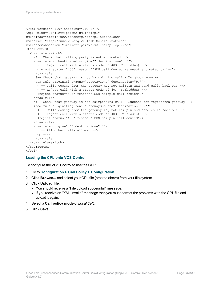```
<?xml version="1.0" encoding="UTF-8" ?>
<cpl xmlns="urn:ietf:params:xml:ns:cpl"
xmlns:taa="http://www.tandberg.net/cpl-extensions"
xmlns:xsi="http://www.w3.org/2001/XMLSchema-instance"
xsi:schemaLocation="urn:ietf:params:xml:ns:cpl cpl.xsd">
<taa:routed>
  <taa:rule-switch>
    <!-- Check that calling party is authenticated -->
   <taa:rule authenticated-origin="" destination="9.*">
     <!-- Reject call with a status code of 403 (Forbidden) -->
      <reject status="403" reason="ISDN call denied as unauthenticated caller"/>
    </taa:rule>
    <!-- Check that gateway is not hairpinning call - Neighbor zone -->
    <taa:rule originating-zone="GatewayZone" destination="9.*">
      <!-- Calls coming from the gateway may not hairpin and send calls back out -->
      <!-- Reject call with a status code of 403 (Forbidden) -->
      <reject status="403" reason="ISDN hairpin call denied"/>
    </taa:rule>
    <!-- Check that gateway is not hairpinning call - Subzone for registered gateway -->
    <taa:rule originating-zone="GatewaySubZone" destination="9.*">
      <!-- Calls coming from the gateway may not hairpin and send calls back out -->
     <!-- Reject call with a status code of 403 (Forbidden) -->
      <reject status="403" reason="ISDN hairpin call denied"/>
    </taa:rule>
    <taa:rule origin=".*" destination=".*">
     <!-- All other calls allowed -->
      <proxy/>
    </taa:rule>
  </taa:rule-switch>
</taa:routed>
\langle / cpl >
```
#### **Loading the CPL onto VCS Control**

To configure the VCS Control to use the CPL:

- 1. Go to **Configuration > Call Policy > Configuration**.
- 2. Click **Browse...** and select your CPL file (created above) from your file system.
- 3. Click **Upload file**.
	- You should receive a "File upload successful" message.
	- If you receive an "XML invalid" message then you must correct the problems with the CPL file and upload it again.
- 4. Select a **Call policy mode** of *Local CPL*.
- 5. Click **Save**.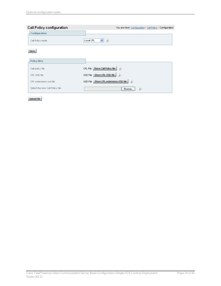| Call Policy configuration       |                                             | You are here: Configuration ▶ Call Policy ▶ Configuration |
|---------------------------------|---------------------------------------------|-----------------------------------------------------------|
| Configuration                   |                                             |                                                           |
| Call Policy mode                | $\triangledown$ (i)<br>Local CPL            |                                                           |
| Save                            |                                             |                                                           |
| <b>Policy files</b>             |                                             |                                                           |
| Call policy file                | Show Call Policy file $(i)$<br>CPL File     |                                                           |
| CPL XSD file                    | Show CPL XSD file $(i)$<br>XSD File         |                                                           |
| CPL extensions xsd file         | XSD File Show CPL extensions XSD file $(i)$ |                                                           |
| Select the new Call Policy file |                                             | (i)<br>Browse                                             |

Upload file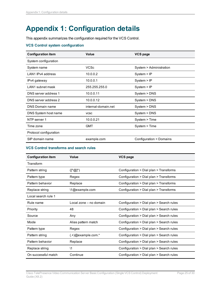## <span id="page-24-0"></span>**Appendix 1: Configuration details**

This appendix summarizes the configuration required for the VCS Control.

#### **VCS Control system configuration**

| <b>Configuration item</b> | Value               | <b>VCS page</b>         |
|---------------------------|---------------------|-------------------------|
| System configuration      |                     |                         |
| System name               | <b>VCSc</b>         | System > Administration |
| LAN1 IPv4 address         | 10.0.0.2            | System > IP             |
| IPv4 gateway              | 10.0.0.1            | System > IP             |
| LAN1 subnet mask          | 255.255.255.0       | System > IP             |
| DNS server address 1      | 10.0.0.11           | System > DNS            |
| DNS server address 2      | 10.0.0.12           | System > DNS            |
| DNS Domain name           | internal-domain.net | System > DNS            |
| DNS System host name      | <b>VCSC</b>         | System > DNS            |
| NTP server 1              | 10.0.0.21           | System > Time           |
| Time zone                 | <b>GMT</b>          | System > Time           |
| Protocol configuration    |                     |                         |
| SIP domain name           | example.com         | Configuration > Domains |

#### **VCS Control transforms and search rules**

| <b>Configuration item</b> | <b>Value</b>                            | <b>VCS page</b>                          |
|---------------------------|-----------------------------------------|------------------------------------------|
| Transform                 |                                         |                                          |
| Pattern string            | $([^{\wedge} \textcircled{a}]^{\star})$ | Configuration > Dial plan > Transforms   |
| Pattern type              | Regex                                   | Configuration > Dial plan > Transforms   |
| Pattern behavior          | Replace                                 | Configuration > Dial plan > Transforms   |
| Replace string            | 1@example.com                           | Configuration > Dial plan > Transforms   |
| Local search rule 1       |                                         |                                          |
| Rule name                 | Local zone – no domain                  | Configuration > Dial plan > Search rules |
| Priority                  | 48                                      | Configuration > Dial plan > Search rules |
| Source                    | Any                                     | Configuration > Dial plan > Search rules |
| Mode                      | Alias pattern match                     | Configuration > Dial plan > Search rules |
| Pattern type              | Regex                                   | Configuration > Dial plan > Search rules |
| Pattern string            | $(.+)$ @example.com.*                   | Configuration > Dial plan > Search rules |
| Pattern behavior          | Replace                                 | Configuration > Dial plan > Search rules |
| Replace string            | \1                                      | Configuration > Dial plan > Search rules |
| On successful match       | Continue                                | Configuration > Dial plan > Search rules |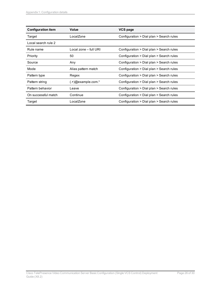| <b>Configuration item</b> | Value                   | <b>VCS page</b>                          |
|---------------------------|-------------------------|------------------------------------------|
| Target                    | LocalZone               | Configuration > Dial plan > Search rules |
| Local search rule 2       |                         |                                          |
| Rule name                 | Local zone - full URI   | Configuration > Dial plan > Search rules |
| Priority                  | 50                      | Configuration > Dial plan > Search rules |
| Source                    | Any                     | Configuration > Dial plan > Search rules |
| Mode                      | Alias pattern match     | Configuration > Dial plan > Search rules |
| Pattern type              | Regex                   | Configuration > Dial plan > Search rules |
| Pattern string            | $( .+ )@$ example.com.* | Configuration > Dial plan > Search rules |
| Pattern behavior          | Leave                   | Configuration > Dial plan > Search rules |
| On successful match       | Continue                | Configuration > Dial plan > Search rules |
| Target                    | LocalZone               | Configuration > Dial plan > Search rules |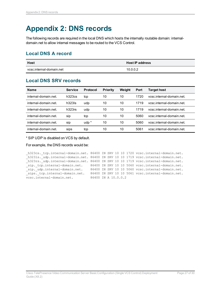## <span id="page-26-0"></span>**Appendix 2: DNS records**

The following records are required in the local DNS which hosts the internally routable domain: internaldomain.net to allow internal messages to be routed to the VCS Control.

### <span id="page-26-1"></span>**Local DNS A record**

| <b>Host</b>              | <b>Host IP address</b> |
|--------------------------|------------------------|
| vcsc internal-domain net | 10.0.0.2               |

### <span id="page-26-2"></span>**Local DNS SRV records**

| Name                 | <b>Service</b> | <b>Protocol</b> | <b>Priority</b> | Weiaht | Port | Target host               |
|----------------------|----------------|-----------------|-----------------|--------|------|---------------------------|
| internal-domain.net. | h323cs         | tcp             | 10              | 10     | 1720 | vcsc.internal-domain.net. |
| internal-domain.net. | $h323$ ls      | udp             | 10              | 10     | 1719 | vcsc.internal-domain.net. |
| internal-domain.net. | h323rs         | udp             | 10              | 10     | 1719 | vcsc.internal-domain.net  |
| internal-domain net  | sip            | tcp             | 10              | 10     | 5060 | ycsc.internal-domain.net. |
| internal-domain.net. | sip            | $udp^*$         | 10              | 10     | 5060 | ycsc.internal-domain.net. |
| internal-domain.net. | sips           | tcp             | 10              | 10     | 5061 | vcsc.internal-domain.net. |

\* SIP UDP is disabled on VCS by default.

For example, the DNS records would be:

```
_h323cs._tcp.internal-domain.net. 86400 IN SRV 10 10 1720 vcsc.internal-domain.net.
h323ls. udp.internal-domain.net. 86400 IN SRV 10 10 1719 vcsc.internal-domain.net.
_h323rs._udp.internal-domain.net. 86400 IN SRV 10 10 1719 vcsc.internal-domain.net.
_sip._tcp.internal-domain.net. 86400 IN SRV 10 10 5060 vcsc.internal-domain.net.
sip. udp.internal-domain.net. 86400 IN SRV 10 10 5060 vcsc.internal-domain.net.
sips. tcp.internal-domain.net. 86400 IN SRV 10 10 5061 vcsc.internal-domain.net.
vcsc.internal-domain.net. 86400 IN A 10.0.0.2
```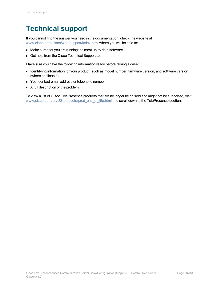## <span id="page-27-0"></span>**Technical support**

If you cannot find the answer you need in the documentation, check the website at [www.cisco.com/cisco/web/support/index.html](http://www.cisco.com/cisco/web/support/index.html) where you will be able to:

- $\blacksquare$  Make sure that you are running the most up-to-date software.
- Get help from the Cisco Technical Support team.

Make sure you have the following information ready before raising a case:

- **n** Identifying information for your product, such as model number, firmware version, and software version (where applicable).
- Your contact email address or telephone number.
- A full description of the problem.

To view a list of Cisco TelePresence products that are no longer being sold and might not be supported, visit: [www.cisco.com/en/US/products/prod\\_end\\_of\\_life.html](http://www.cisco.com/en/US/products/prod_end_of_life.html) and scroll down to the TelePresence section.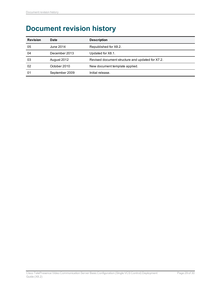## <span id="page-28-0"></span>**Document revision history**

| <b>Revision</b> | <b>Date</b>    | <b>Description</b>                               |
|-----------------|----------------|--------------------------------------------------|
| 05              | June 2014      | Republished for X8.2.                            |
| 04              | December 2013  | Updated for X8.1.                                |
| 03              | August 2012    | Revised document structure and updated for X7.2. |
| 02              | October 2010   | New document template applied.                   |
| 01              | September 2009 | Initial release.                                 |